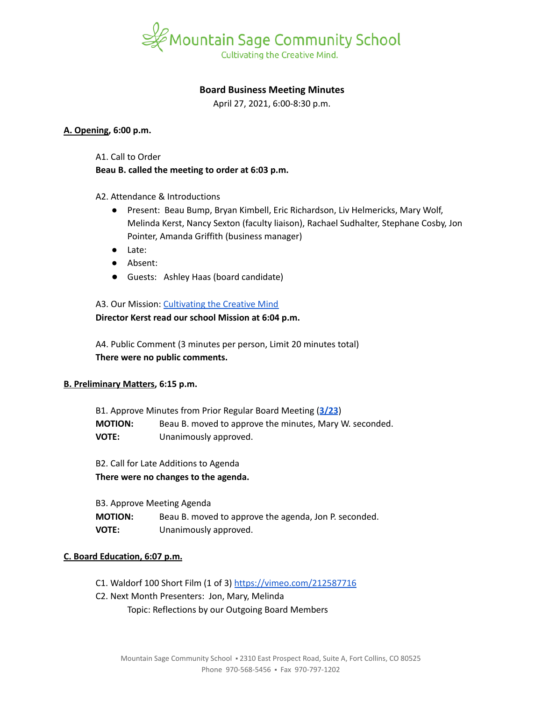

# **Board Business Meeting Minutes**

April 27, 2021, 6:00-8:30 p.m.

### **A. Opening, 6:00 p.m.**

A1. Call to Order

**Beau B. called the meeting to order at 6:03 p.m.**

A2. Attendance & Introductions

- Present: Beau Bump, Bryan Kimbell, Eric Richardson, Liv Helmericks, Mary Wolf, Melinda Kerst, Nancy Sexton (faculty liaison), Rachael Sudhalter, Stephane Cosby, Jon Pointer, Amanda Griffith (business manager)
- Late:
- Absent:
- Guests: Ashley Haas (board candidate)

A3. Our Mission: [Cultivating](https://www.mountainsage.org/about-us/mission-and-vision/) the Creative Mind **Director Kerst read our school Mission at 6:04 p.m.**

A4. Public Comment (3 minutes per person, Limit 20 minutes total) **There were no public comments.**

## **B. Preliminary Matters, 6:15 p.m.**

B1. Approve Minutes from Prior Regular Board Meeting (**[3/23](https://docs.google.com/document/d/1LIJzbes3jdsy6r0oqjMefHOGv7L3HoH-0NPZ4sZ0m_0)**) **MOTION:** Beau B. moved to approve the minutes, Mary W. seconded. **VOTE:** Unanimously approved.

B2. Call for Late Additions to Agenda **There were no changes to the agenda.**

B3. Approve Meeting Agenda **MOTION:** Beau B. moved to approve the agenda, Jon P. seconded. **VOTE:** Unanimously approved.

#### **C. Board Education, 6:07 p.m.**

- C1. Waldorf 100 Short Film (1 of 3) <https://vimeo.com/212587716>
- C2. Next Month Presenters: Jon, Mary, Melinda
	- Topic: Reflections by our Outgoing Board Members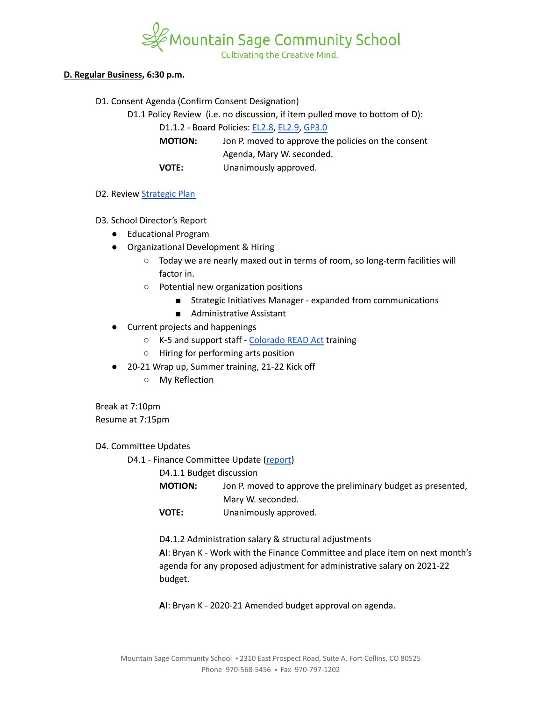

#### **D. Regular Business, 6:30 p.m.**

D1. Consent Agenda (Confirm Consent Designation)

D1.1 Policy Review (i.e. no discussion, if item pulled move to bottom of D):

D1.1.2 - Board Policies: [EL2.8,](https://docs.google.com/document/d/1CRy-bV8I9d_GuKcWhyaczopX8vJ8mZXot1zXBJNeNxo) [EL2.9](https://docs.google.com/document/d/1GZEKYwkBDBPrMmiQ4Bl5rLYnctwF_E27ZKu9GYY7lYs), [GP3.0](https://docs.google.com/document/d/1rOOj0tNmvU3l9f7mPNuRgEMOeCeu7x5aFbV8KcULAJ0)

**MOTION:** Jon P. moved to approve the policies on the consent Agenda, Mary W. seconded. **VOTE:** Unanimously approved.

### D2. Review [Strategic](https://docs.google.com/spreadsheets/d/1ZcsDhIjaJBoVOI2OMPaYkghgZi_yR7rn31ELgbvqf3E/view) Plan

- D3. School Director's Report
	- Educational Program
	- Organizational Development & Hiring
		- Today we are nearly maxed out in terms of room, so long-term facilities will factor in.
		- Potential new organization positions
			- Strategic Initiatives Manager expanded from communications
			- Administrative Assistant
	- Current projects and happenings
		- K-5 and support staff [Colorado](https://www.cde.state.co.us/coloradoliteracy#:~:text=The%20Colorado%20Reading%20to%20Ensure,they%20enter%20the%20fourth%20grade.) READ Act training
		- Hiring for performing arts position
	- 20-21 Wrap up, Summer training, 21-22 Kick off
		- My Reflection

Break at 7:10pm Resume at 7:15pm

D4. Committee Updates

D4.1 - Finance Committee Update ([report](https://docs.google.com/document/d/1AGsgi96G_cOjPKFhBXZKPD9pUCDiw06ih5w4GVAlHOg))

D4.1.1 Budget discussion

**MOTION:** Jon P. moved to approve the preliminary budget as presented, Mary W. seconded.

**VOTE:** Unanimously approved.

D4.1.2 Administration salary & structural adjustments

**AI**: Bryan K - Work with the Finance Committee and place item on next month's agenda for any proposed adjustment for administrative salary on 2021-22 budget.

**AI**: Bryan K - 2020-21 Amended budget approval on agenda.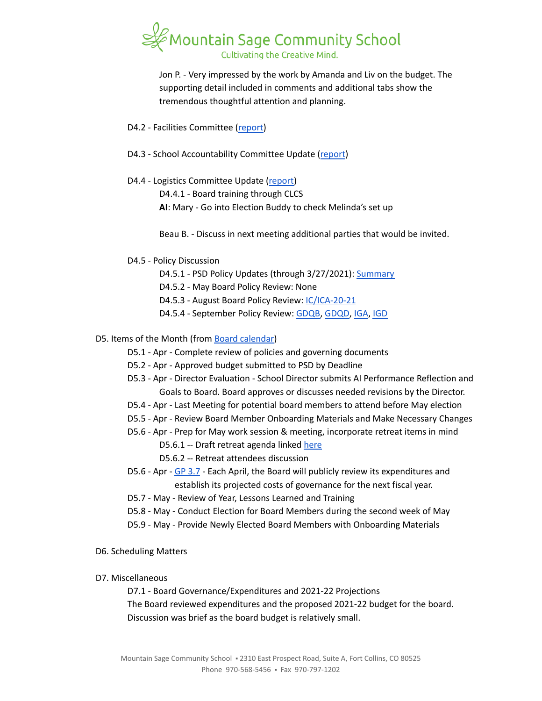

Jon P. - Very impressed by the work by Amanda and Liv on the budget. The supporting detail included in comments and additional tabs show the tremendous thoughtful attention and planning.

- D4.2 Facilities Committee [\(report\)](https://docs.google.com/document/d/1pHJ0nIDFJ8hF2AT1LR7jnkPjm_B3SRZWQ6hTb7q1xqA)
- D4.3 School Accountability Committee Update [\(report](https://docs.google.com/document/d/1RiaF0B3I3UbsFNfEP5B0ShuN6goTu8EtYFgLgI_lxQc))
- D4.4 Logistics Committee Update ([report](https://docs.google.com/document/d/1tlgY7bW3fVutW_zbcUvtSq8cNODb8jTKfHkgEnY7gxk))
	- D4.4.1 Board training through CLCS
	- **AI**: Mary Go into Election Buddy to check Melinda's set up

Beau B. - Discuss in next meeting additional parties that would be invited.

- D4.5 Policy Discussion
	- D4.5.1 PSD Policy Updates (through 3/27/2021): [Summary](https://docs.google.com/document/d/1ytLzG6FyI2YTZ2jXua67zkMRvfkIQeDIyyFgAD-WAPA)
	- D4.5.2 May Board Policy Review: None
	- D4.5.3 August Board Policy Review: [IC/ICA-20-21](https://docs.google.com/document/d/1vYwedJYcHq6j04mLqMZ8YIONGwVQBzBu7vgCSZ_N1o8)
	- D4.5.4 September Policy Review: [GDQB,](https://docs.google.com/document/d/1v4tGD07QFE56LKxTItzfu02rLfKRePcJk07Ao1XmLRg) [GDQD,](https://drive.google.com/open?id=1Ewwb0RIPZasF4ZmW7YUI-MQyvjgK7_aGBF7_874vNm8) [IGA](https://drive.google.com/open?id=17V0SGbIQdLADRZ5pwr_sr0Dl9RI-k8U9fvpsVhO2Cso), [IGD](https://drive.google.com/open?id=1dp0fAXOoFv1_XlJI0FYOgRRxLkpDFmdC1HH8hRpezBg)
- D5. Items of the Month (from Board [calendar\)](https://docs.google.com/document/d/12S6s-qevYMsnj8Cr2yw6uMO7S7hL3gz2oKvXZk5ZndQ/edit?usp=sharing)
	- D5.1 Apr Complete review of policies and governing documents
	- D5.2 Apr Approved budget submitted to PSD by Deadline
	- D5.3 Apr Director Evaluation School Director submits AI Performance Reflection and Goals to Board. Board approves or discusses needed revisions by the Director.
	- D5.4 Apr Last Meeting for potential board members to attend before May election
	- D5.5 Apr Review Board Member Onboarding Materials and Make Necessary Changes
	- D5.6 Apr Prep for May work session & meeting, incorporate retreat items in mind
		- D5.6.1 -- Draft retreat agenda linked [here](https://docs.google.com/document/d/1al6Wf6E5dcKBOmHwp8cZjzjfoswoyltKJTnE9mWddNQ/edit?usp=sharing)
		- D5.6.2 -- Retreat attendees discussion
	- D5.6 Apr GP [3.7](https://drive.google.com/drive/u/0/folders/19cv6o9aniGaXqE5rsNWWb7dxQDcRUoZj) Each April, the Board will publicly review its expenditures and establish its projected costs of governance for the next fiscal year.
	- D5.7 May Review of Year, Lessons Learned and Training
	- D5.8 May Conduct Election for Board Members during the second week of May
	- D5.9 May Provide Newly Elected Board Members with Onboarding Materials
- D6. Scheduling Matters
- D7. Miscellaneous

D7.1 - Board Governance/Expenditures and 2021-22 Projections The Board reviewed expenditures and the proposed 2021-22 budget for the board. Discussion was brief as the board budget is relatively small.